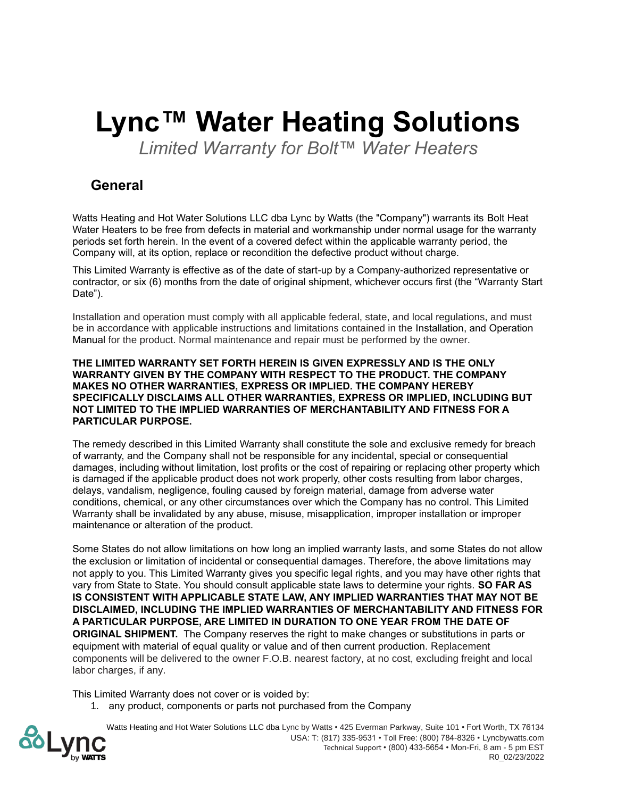# **Lync™ Water Heating Solutions**

*Limited Warranty for Bolt™ Water Heaters*

## **General**

Watts Heating and Hot Water Solutions LLC dba Lync by Watts (the "Company") warrants its Bolt Heat Water Heaters to be free from defects in material and workmanship under normal usage for the warranty periods set forth herein. In the event of a covered defect within the applicable warranty period, the Company will, at its option, replace or recondition the defective product without charge.

This Limited Warranty is effective as of the date of start-up by a Company-authorized representative or contractor, or six (6) months from the date of original shipment, whichever occurs first (the "Warranty Start Date").

Installation and operation must comply with all applicable federal, state, and local regulations, and must be in accordance with applicable instructions and limitations contained in the Installation, and Operation Manual for the product. Normal maintenance and repair must be performed by the owner.

#### **THE LIMITED WARRANTY SET FORTH HEREIN IS GIVEN EXPRESSLY AND IS THE ONLY WARRANTY GIVEN BY THE COMPANY WITH RESPECT TO THE PRODUCT. THE COMPANY MAKES NO OTHER WARRANTIES, EXPRESS OR IMPLIED. THE COMPANY HEREBY SPECIFICALLY DISCLAIMS ALL OTHER WARRANTIES, EXPRESS OR IMPLIED, INCLUDING BUT NOT LIMITED TO THE IMPLIED WARRANTIES OF MERCHANTABILITY AND FITNESS FOR A PARTICULAR PURPOSE.**

The remedy described in this Limited Warranty shall constitute the sole and exclusive remedy for breach of warranty, and the Company shall not be responsible for any incidental, special or consequential damages, including without limitation, lost profits or the cost of repairing or replacing other property which is damaged if the applicable product does not work properly, other costs resulting from labor charges, delays, vandalism, negligence, fouling caused by foreign material, damage from adverse water conditions, chemical, or any other circumstances over which the Company has no control. This Limited Warranty shall be invalidated by any abuse, misuse, misapplication, improper installation or improper maintenance or alteration of the product.

Some States do not allow limitations on how long an implied warranty lasts, and some States do not allow the exclusion or limitation of incidental or consequential damages. Therefore, the above limitations may not apply to you. This Limited Warranty gives you specific legal rights, and you may have other rights that vary from State to State. You should consult applicable state laws to determine your rights. **SO FAR AS IS CONSISTENT WITH APPLICABLE STATE LAW, ANY IMPLIED WARRANTIES THAT MAY NOT BE DISCLAIMED, INCLUDING THE IMPLIED WARRANTIES OF MERCHANTABILITY AND FITNESS FOR A PARTICULAR PURPOSE, ARE LIMITED IN DURATION TO ONE YEAR FROM THE DATE OF ORIGINAL SHIPMENT.** The Company reserves the right to make changes or substitutions in parts or equipment with material of equal quality or value and of then current production. Replacement components will be delivered to the owner F.O.B. nearest factory, at no cost, excluding freight and local labor charges, if any.

This Limited Warranty does not cover or is voided by:

1. any product, components or parts not purchased from the Company

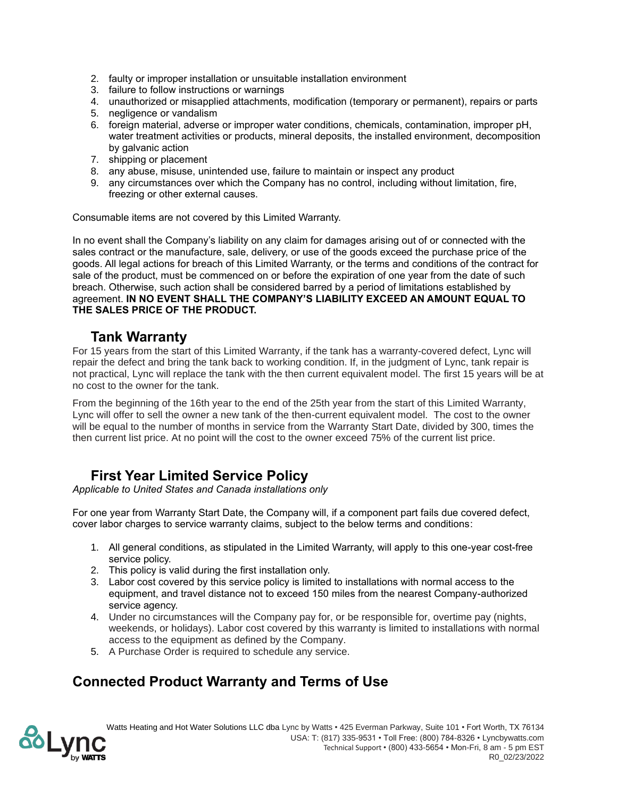- 2. faulty or improper installation or unsuitable installation environment
- 3. failure to follow instructions or warnings
- 4. unauthorized or misapplied attachments, modification (temporary or permanent), repairs or parts
- 5. negligence or vandalism
- 6. foreign material, adverse or improper water conditions, chemicals, contamination, improper pH, water treatment activities or products, mineral deposits, the installed environment, decomposition by galvanic action
- 7. shipping or placement
- 8. any abuse, misuse, unintended use, failure to maintain or inspect any product
- 9. any circumstances over which the Company has no control, including without limitation, fire, freezing or other external causes.

Consumable items are not covered by this Limited Warranty.

In no event shall the Company's liability on any claim for damages arising out of or connected with the sales contract or the manufacture, sale, delivery, or use of the goods exceed the purchase price of the goods. All legal actions for breach of this Limited Warranty, or the terms and conditions of the contract for sale of the product, must be commenced on or before the expiration of one year from the date of such breach. Otherwise, such action shall be considered barred by a period of limitations established by agreement. **IN NO EVENT SHALL THE COMPANY'S LIABILITY EXCEED AN AMOUNT EQUAL TO THE SALES PRICE OF THE PRODUCT.**

### **Tank Warranty**

For 15 years from the start of this Limited Warranty, if the tank has a warranty-covered defect, Lync will repair the defect and bring the tank back to working condition. If, in the judgment of Lync, tank repair is not practical, Lync will replace the tank with the then current equivalent model. The first 15 years will be at no cost to the owner for the tank.

From the beginning of the 16th year to the end of the 25th year from the start of this Limited Warranty, Lync will offer to sell the owner a new tank of the then-current equivalent model. The cost to the owner will be equal to the number of months in service from the Warranty Start Date, divided by 300, times the then current list price. At no point will the cost to the owner exceed 75% of the current list price.

## **First Year Limited Service Policy**

*Applicable to United States and Canada installations only*

For one year from Warranty Start Date, the Company will, if a component part fails due covered defect, cover labor charges to service warranty claims, subject to the below terms and conditions:

- 1. All general conditions, as stipulated in the Limited Warranty, will apply to this one-year cost-free service policy.
- 2. This policy is valid during the first installation only.
- 3. Labor cost covered by this service policy is limited to installations with normal access to the equipment, and travel distance not to exceed 150 miles from the nearest Company-authorized service agency.
- 4. Under no circumstances will the Company pay for, or be responsible for, overtime pay (nights, weekends, or holidays). Labor cost covered by this warranty is limited to installations with normal access to the equipment as defined by the Company.
- 5. A Purchase Order is required to schedule any service.

## **Connected Product Warranty and Terms of Use**